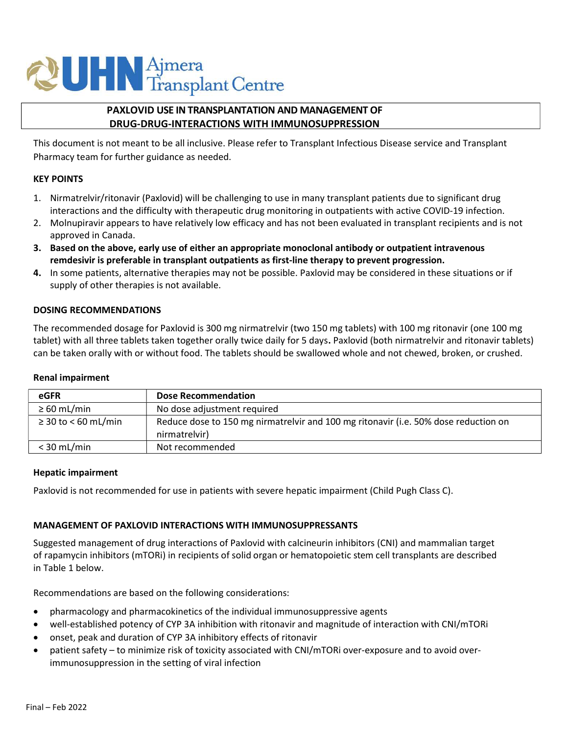# **QUHN** Ajmera<br>Transplant Centre

# PAXLOVID USE IN TRANSPLANTATION AND MANAGEMENT OF DRUG-DRUG-INTERACTIONS WITH IMMUNOSUPPRESSION

This document is not meant to be all inclusive. Please refer to Transplant Infectious Disease service and Transplant Pharmacy team for further guidance as needed.

## KEY POINTS

- 1. Nirmatrelvir/ritonavir (Paxlovid) will be challenging to use in many transplant patients due to significant drug interactions and the difficulty with therapeutic drug monitoring in outpatients with active COVID-19 infection.
- 2. Molnupiravir appears to have relatively low efficacy and has not been evaluated in transplant recipients and is not approved in Canada.
- 3. Based on the above, early use of either an appropriate monoclonal antibody or outpatient intravenous remdesivir is preferable in transplant outpatients as first-line therapy to prevent progression.
- 4. In some patients, alternative therapies may not be possible. Paxlovid may be considered in these situations or if supply of other therapies is not available.

# DOSING RECOMMENDATIONS

The recommended dosage for Paxlovid is 300 mg nirmatrelvir (two 150 mg tablets) with 100 mg ritonavir (one 100 mg tablet) with all three tablets taken together orally twice daily for 5 days. Paxlovid (both nirmatrelvir and ritonavir tablets) can be taken orally with or without food. The tablets should be swallowed whole and not chewed, broken, or crushed.

## Renal impairment

| eGFR                     | <b>Dose Recommendation</b>                                                                           |
|--------------------------|------------------------------------------------------------------------------------------------------|
| $\geq 60$ mL/min         | No dose adjustment required                                                                          |
| $\geq$ 30 to < 60 mL/min | Reduce dose to 150 mg nirmatrelvir and 100 mg ritonavir (i.e. 50% dose reduction on<br>nirmatrelvir) |
| $<$ 30 mL/min            | Not recommended                                                                                      |

#### Hepatic impairment

Paxlovid is not recommended for use in patients with severe hepatic impairment (Child Pugh Class C).

# MANAGEMENT OF PAXLOVID INTERACTIONS WITH IMMUNOSUPPRESSANTS

Suggested management of drug interactions of Paxlovid with calcineurin inhibitors (CNI) and mammalian target of rapamycin inhibitors (mTORi) in recipients of solid organ or hematopoietic stem cell transplants are described in Table 1 below.

Recommendations are based on the following considerations:

- pharmacology and pharmacokinetics of the individual immunosuppressive agents
- well-established potency of CYP 3A inhibition with ritonavir and magnitude of interaction with CNI/mTORi
- onset, peak and duration of CYP 3A inhibitory effects of ritonavir
- patient safety to minimize risk of toxicity associated with CNI/mTORi over-exposure and to avoid overimmunosuppression in the setting of viral infection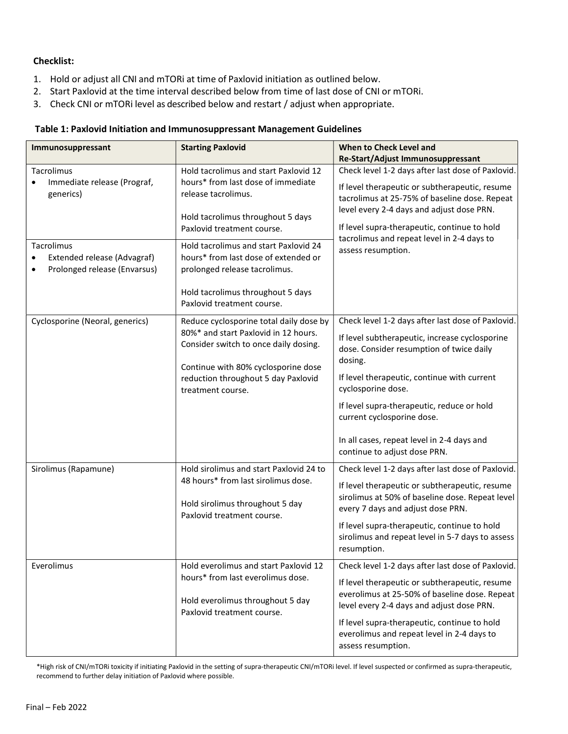# Checklist:

- 1. Hold or adjust all CNI and mTORi at time of Paxlovid initiation as outlined below.
- 2. Start Paxlovid at the time interval described below from time of last dose of CNI or mTORi.
- 3. Check CNI or mTORi level as described below and restart / adjust when appropriate.

## Table 1: Paxlovid Initiation and Immunosuppressant Management Guidelines

| Immunosuppressant                                                                      | <b>Starting Paxlovid</b>                                                                                                                                                                                                    | When to Check Level and<br>Re-Start/Adjust Immunosuppressant                                                                                                                                                                                                                                                                                                                              |
|----------------------------------------------------------------------------------------|-----------------------------------------------------------------------------------------------------------------------------------------------------------------------------------------------------------------------------|-------------------------------------------------------------------------------------------------------------------------------------------------------------------------------------------------------------------------------------------------------------------------------------------------------------------------------------------------------------------------------------------|
| Tacrolimus<br>Immediate release (Prograf,<br>generics)                                 | Hold tacrolimus and start Paxlovid 12<br>hours* from last dose of immediate<br>release tacrolimus.<br>Hold tacrolimus throughout 5 days<br>Paxlovid treatment course.                                                       | Check level 1-2 days after last dose of Paxlovid.<br>If level therapeutic or subtherapeutic, resume<br>tacrolimus at 25-75% of baseline dose. Repeat<br>level every 2-4 days and adjust dose PRN.<br>If level supra-therapeutic, continue to hold<br>tacrolimus and repeat level in 2-4 days to<br>assess resumption.                                                                     |
| Tacrolimus<br>Extended release (Advagraf)<br>$\bullet$<br>Prolonged release (Envarsus) | Hold tacrolimus and start Paxlovid 24<br>hours* from last dose of extended or<br>prolonged release tacrolimus.<br>Hold tacrolimus throughout 5 days<br>Paxlovid treatment course.                                           |                                                                                                                                                                                                                                                                                                                                                                                           |
| Cyclosporine (Neoral, generics)                                                        | Reduce cyclosporine total daily dose by<br>80%* and start Paxlovid in 12 hours.<br>Consider switch to once daily dosing.<br>Continue with 80% cyclosporine dose<br>reduction throughout 5 day Paxlovid<br>treatment course. | Check level 1-2 days after last dose of Paxlovid.<br>If level subtherapeutic, increase cyclosporine<br>dose. Consider resumption of twice daily<br>dosing.<br>If level therapeutic, continue with current<br>cyclosporine dose.<br>If level supra-therapeutic, reduce or hold<br>current cyclosporine dose.<br>In all cases, repeat level in 2-4 days and<br>continue to adjust dose PRN. |
| Sirolimus (Rapamune)                                                                   | Hold sirolimus and start Paxlovid 24 to<br>48 hours* from last sirolimus dose.<br>Hold sirolimus throughout 5 day<br>Paxlovid treatment course.                                                                             | Check level 1-2 days after last dose of Paxlovid.<br>If level therapeutic or subtherapeutic, resume<br>sirolimus at 50% of baseline dose. Repeat level<br>every 7 days and adjust dose PRN.<br>If level supra-therapeutic, continue to hold<br>sirolimus and repeat level in 5-7 days to assess<br>resumption.                                                                            |
| Everolimus                                                                             | Hold everolimus and start Paxlovid 12<br>hours* from last everolimus dose.<br>Hold everolimus throughout 5 day<br>Paxlovid treatment course.                                                                                | Check level 1-2 days after last dose of Paxlovid.<br>If level therapeutic or subtherapeutic, resume<br>everolimus at 25-50% of baseline dose. Repeat<br>level every 2-4 days and adjust dose PRN.<br>If level supra-therapeutic, continue to hold<br>everolimus and repeat level in 2-4 days to<br>assess resumption.                                                                     |

\*High risk of CNI/mTORi toxicity if initiating Paxlovid in the setting of supra-therapeutic CNI/mTORi level. If level suspected or confirmed as supra-therapeutic, recommend to further delay initiation of Paxlovid where possible.